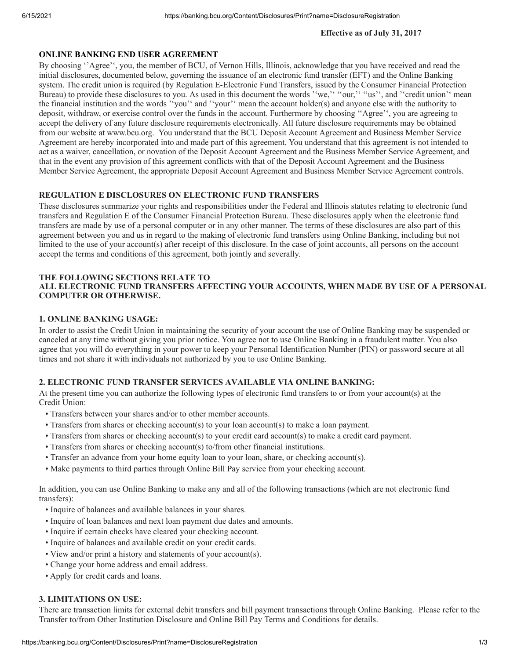#### **Effective as of July 31, 2017**

## **ONLINE BANKING END USER AGREEMENT**

By choosing ''Agree'', you, the member of BCU, of Vernon Hills, Illinois, acknowledge that you have received and read the initial disclosures, documented below, governing the issuance of an electronic fund transfer (EFT) and the Online Banking system. The credit union is required (by Regulation E-Electronic Fund Transfers, issued by the Consumer Financial Protection Bureau) to provide these disclosures to you. As used in this document the words ''we,'' "our,'' "us", and ''credit union'' mean the financial institution and the words ''you'' and ''your'' mean the account holder(s) and anyone else with the authority to deposit, withdraw, or exercise control over the funds in the account. Furthermore by choosing ''Agree'', you are agreeing to accept the delivery of any future disclosure requirements electronically. All future disclosure requirements may be obtained from our website at www.bcu.org. You understand that the BCU Deposit Account Agreement and Business Member Service Agreement are hereby incorporated into and made part of this agreement. You understand that this agreement is not intended to act as a waiver, cancellation, or novation of the Deposit Account Agreement and the Business Member Service Agreement, and that in the event any provision of this agreement conflicts with that of the Deposit Account Agreement and the Business Member Service Agreement, the appropriate Deposit Account Agreement and Business Member Service Agreement controls.

## **REGULATION E DISCLOSURES ON ELECTRONIC FUND TRANSFERS**

These disclosures summarize your rights and responsibilities under the Federal and Illinois statutes relating to electronic fund transfers and Regulation E of the Consumer Financial Protection Bureau. These disclosures apply when the electronic fund transfers are made by use of a personal computer or in any other manner. The terms of these disclosures are also part of this agreement between you and us in regard to the making of electronic fund transfers using Online Banking, including but not limited to the use of your account(s) after receipt of this disclosure. In the case of joint accounts, all persons on the account accept the terms and conditions of this agreement, both jointly and severally.

## **THE FOLLOWING SECTIONS RELATE TO**

# **ALL ELECTRONIC FUND TRANSFERS AFFECTING YOUR ACCOUNTS, WHEN MADE BY USE OF A PERSONAL COMPUTER OR OTHERWISE.**

#### **1. ONLINE BANKING USAGE:**

In order to assist the Credit Union in maintaining the security of your account the use of Online Banking may be suspended or canceled at any time without giving you prior notice. You agree not to use Online Banking in a fraudulent matter. You also agree that you will do everything in your power to keep your Personal Identification Number (PIN) or password secure at all times and not share it with individuals not authorized by you to use Online Banking.

## **2. ELECTRONIC FUND TRANSFER SERVICES AVAILABLE VIA ONLINE BANKING:**

At the present time you can authorize the following types of electronic fund transfers to or from your account(s) at the Credit Union:

- Transfers between your shares and/or to other member accounts.
- Transfers from shares or checking account(s) to your loan account(s) to make a loan payment.
- Transfers from shares or checking account(s) to your credit card account(s) to make a credit card payment.
- Transfers from shares or checking account(s) to/from other financial institutions.
- Transfer an advance from your home equity loan to your loan, share, or checking account(s).
- Make payments to third parties through Online Bill Pay service from your checking account.

In addition, you can use Online Banking to make any and all of the following transactions (which are not electronic fund transfers):

- Inquire of balances and available balances in your shares.
- Inquire of loan balances and next loan payment due dates and amounts.
- Inquire if certain checks have cleared your checking account.
- Inquire of balances and available credit on your credit cards.
- View and/or print a history and statements of your account(s).
- Change your home address and email address.
- Apply for credit cards and loans.

## **3. LIMITATIONS ON USE:**

There are transaction limits for external debit transfers and bill payment transactions through Online Banking. Please refer to the Transfer to/from Other Institution Disclosure and Online Bill Pay Terms and Conditions for details.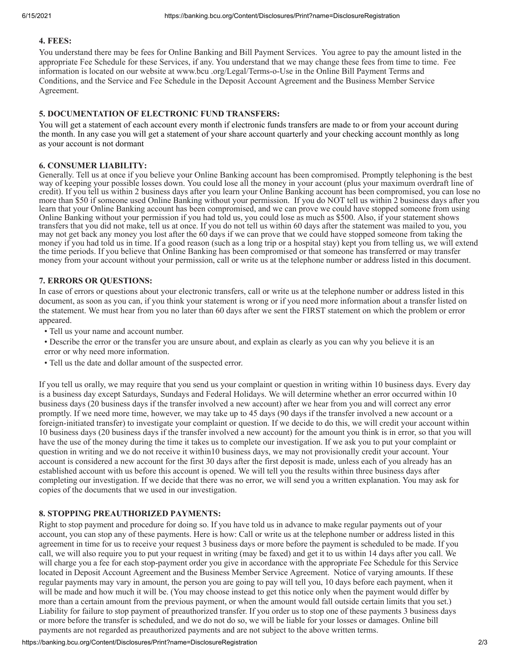## **4. FEES:**

You understand there may be fees for Online Banking and Bill Payment Services. You agree to pay the amount listed in the appropriate Fee Schedule for these Services, if any. You understand that we may change these fees from time to time. Fee information is located on our website at www.bcu .org/Legal/Terms-o-Use in the Online Bill Payment Terms and Conditions, and the Service and Fee Schedule in the Deposit Account Agreement and the Business Member Service Agreement.

## **5. DOCUMENTATION OF ELECTRONIC FUND TRANSFERS:**

You will get a statement of each account every month if electronic funds transfers are made to or from your account during the month. In any case you will get a statement of your share account quarterly and your checking account monthly as long as your account is not dormant

## **6. CONSUMER LIABILITY:**

Generally. Tell us at once if you believe your Online Banking account has been compromised. Promptly telephoning is the best way of keeping your possible losses down. You could lose all the money in your account (plus your maximum overdraft line of credit). If you tell us within 2 business days after you learn your Online Banking account has been compromised, you can lose no more than \$50 if someone used Online Banking without your permission. If you do NOT tell us within 2 business days after you learn that your Online Banking account has been compromised, and we can prove we could have stopped someone from using Online Banking without your permission if you had told us, you could lose as much as \$500. Also, if your statement shows transfers that you did not make, tell us at once. If you do not tell us within 60 days after the statement was mailed to you, you may not get back any money you lost after the 60 days if we can prove that we could have stopped someone from taking the money if you had told us in time. If a good reason (such as a long trip or a hospital stay) kept you from telling us, we will extend the time periods. If you believe that Online Banking has been compromised or that someone has transferred or may transfer money from your account without your permission, call or write us at the telephone number or address listed in this document.

#### **7. ERRORS OR QUESTIONS:**

In case of errors or questions about your electronic transfers, call or write us at the telephone number or address listed in this document, as soon as you can, if you think your statement is wrong or if you need more information about a transfer listed on the statement. We must hear from you no later than 60 days after we sent the FIRST statement on which the problem or error appeared.

- Tell us your name and account number.
- Describe the error or the transfer you are unsure about, and explain as clearly as you can why you believe it is an error or why need more information.
- Tell us the date and dollar amount of the suspected error.

If you tell us orally, we may require that you send us your complaint or question in writing within 10 business days. Every day is a business day except Saturdays, Sundays and Federal Holidays. We will determine whether an error occurred within 10 business days (20 business days if the transfer involved a new account) after we hear from you and will correct any error promptly. If we need more time, however, we may take up to 45 days (90 days if the transfer involved a new account or a foreign-initiated transfer) to investigate your complaint or question. If we decide to do this, we will credit your account within 10 business days (20 business days if the transfer involved a new account) for the amount you think is in error, so that you will have the use of the money during the time it takes us to complete our investigation. If we ask you to put your complaint or question in writing and we do not receive it within10 business days, we may not provisionally credit your account. Your account is considered a new account for the first 30 days after the first deposit is made, unless each of you already has an established account with us before this account is opened. We will tell you the results within three business days after completing our investigation. If we decide that there was no error, we will send you a written explanation. You may ask for copies of the documents that we used in our investigation.

## **8. STOPPING PREAUTHORIZED PAYMENTS:**

Right to stop payment and procedure for doing so. If you have told us in advance to make regular payments out of your account, you can stop any of these payments. Here is how: Call or write us at the telephone number or address listed in this agreement in time for us to receive your request 3 business days or more before the payment is scheduled to be made. If you call, we will also require you to put your request in writing (may be faxed) and get it to us within 14 days after you call. We will charge you a fee for each stop-payment order you give in accordance with the appropriate Fee Schedule for this Service located in Deposit Account Agreement and the Business Member Service Agreement. Notice of varying amounts. If these regular payments may vary in amount, the person you are going to pay will tell you, 10 days before each payment, when it will be made and how much it will be. (You may choose instead to get this notice only when the payment would differ by more than a certain amount from the previous payment, or when the amount would fall outside certain limits that you set.) Liability for failure to stop payment of preauthorized transfer. If you order us to stop one of these payments 3 business days or more before the transfer is scheduled, and we do not do so, we will be liable for your losses or damages. Online bill payments are not regarded as preauthorized payments and are not subject to the above written terms.